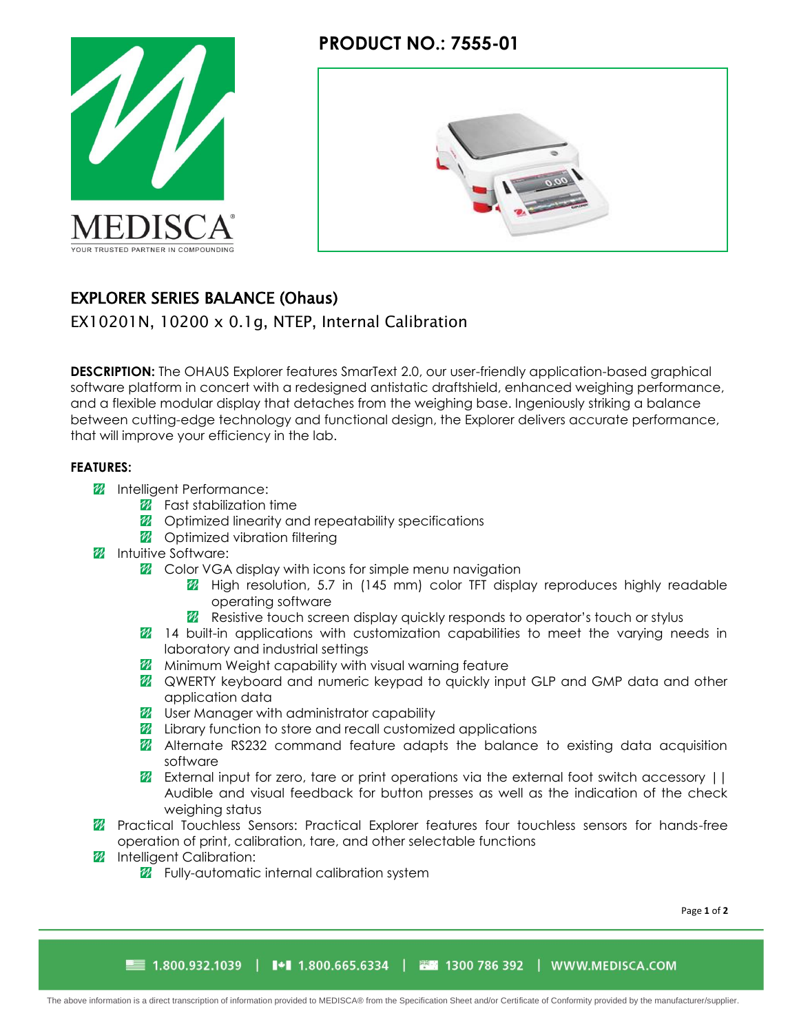

# **PRODUCT NO.: 7555-01**



# EXPLORER SERIES BALANCE (Ohaus)

EX10201N, 10200 x 0.1g, NTEP, Internal Calibration

**DESCRIPTION:** The OHAUS Explorer features SmarText 2.0, our user-friendly application-based graphical software platform in concert with a redesigned antistatic draftshield, enhanced weighing performance, and a flexible modular display that detaches from the weighing base. Ingeniously striking a balance between cutting-edge technology and functional design, the Explorer delivers accurate performance, that will improve your efficiency in the lab.

### **FEATURES:**

- *M* Intelligent Performance:
	- $\mathscr{U}$  Fast stabilization time
	- **2** Optimized linearity and repeatability specifications
	- **22** Optimized vibration filtering
- **M** Intuitive Software:
	- **2** Color VGA display with icons for simple menu navigation
		- **7** High resolution, 5.7 in (145 mm) color TFT display reproduces highly readable operating software
		- **Z** Resistive touch screen display quickly responds to operator's touch or stylus
	- **14** 14 built-in applications with customization capabilities to meet the varying needs in laboratory and industrial settings
	- **M** Minimum Weight capability with visual warning feature
	- **Z** QWERTY keyboard and numeric keypad to quickly input GLP and GMP data and other application data
	- **22** User Manager with administrator capability
	- **2** Library function to store and recall customized applications
	- **Z** Alternate RS232 command feature adapts the balance to existing data acquisition software
	- $\mathbb Z$  External input for zero, tare or print operations via the external foot switch accessory  $| \cdot |$ Audible and visual feedback for button presses as well as the indication of the check weighing status
- **Z** Practical Touchless Sensors: Practical Explorer features four touchless sensors for hands-free operation of print, calibration, tare, and other selectable functions
- *M* Intelligent Calibration:
	- **2** Fully-automatic internal calibration system

Page **1** of **2**

■ 1.800.932.1039 │ N+N 1.800.665.6334 │ 西田 1300 786 392 │ WWW.MEDISCA.COM